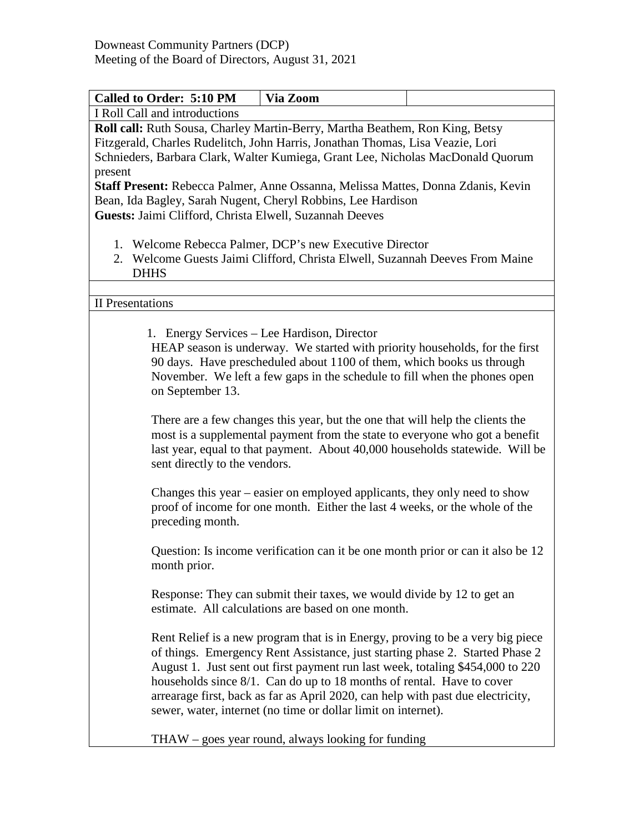| Called to Order: 5:10 PM                                                                                                                                                                                                                                                                                                                                                                                                                                                                                                                                                                                                      | Via Zoom                                                                                                                                                                                                                                                                                                                                                                                                                                                                      |  |  |  |
|-------------------------------------------------------------------------------------------------------------------------------------------------------------------------------------------------------------------------------------------------------------------------------------------------------------------------------------------------------------------------------------------------------------------------------------------------------------------------------------------------------------------------------------------------------------------------------------------------------------------------------|-------------------------------------------------------------------------------------------------------------------------------------------------------------------------------------------------------------------------------------------------------------------------------------------------------------------------------------------------------------------------------------------------------------------------------------------------------------------------------|--|--|--|
| I Roll Call and introductions                                                                                                                                                                                                                                                                                                                                                                                                                                                                                                                                                                                                 |                                                                                                                                                                                                                                                                                                                                                                                                                                                                               |  |  |  |
| Roll call: Ruth Sousa, Charley Martin-Berry, Martha Beathem, Ron King, Betsy<br>Fitzgerald, Charles Rudelitch, John Harris, Jonathan Thomas, Lisa Veazie, Lori<br>Schnieders, Barbara Clark, Walter Kumiega, Grant Lee, Nicholas MacDonald Quorum<br>present<br><b>Staff Present:</b> Rebecca Palmer, Anne Ossanna, Melissa Mattes, Donna Zdanis, Kevin<br>Bean, Ida Bagley, Sarah Nugent, Cheryl Robbins, Lee Hardison<br>Guests: Jaimi Clifford, Christa Elwell, Suzannah Deeves<br>1. Welcome Rebecca Palmer, DCP's new Executive Director<br>2. Welcome Guests Jaimi Clifford, Christa Elwell, Suzannah Deeves From Maine |                                                                                                                                                                                                                                                                                                                                                                                                                                                                               |  |  |  |
| <b>DHHS</b>                                                                                                                                                                                                                                                                                                                                                                                                                                                                                                                                                                                                                   |                                                                                                                                                                                                                                                                                                                                                                                                                                                                               |  |  |  |
|                                                                                                                                                                                                                                                                                                                                                                                                                                                                                                                                                                                                                               |                                                                                                                                                                                                                                                                                                                                                                                                                                                                               |  |  |  |
| <b>II</b> Presentations                                                                                                                                                                                                                                                                                                                                                                                                                                                                                                                                                                                                       |                                                                                                                                                                                                                                                                                                                                                                                                                                                                               |  |  |  |
| on September 13.                                                                                                                                                                                                                                                                                                                                                                                                                                                                                                                                                                                                              | 1. Energy Services – Lee Hardison, Director<br>HEAP season is underway. We started with priority households, for the first<br>90 days. Have prescheduled about 1100 of them, which books us through<br>November. We left a few gaps in the schedule to fill when the phones open<br>There are a few changes this year, but the one that will help the clients the<br>most is a supplemental payment from the state to everyone who got a benefit                              |  |  |  |
| sent directly to the vendors.                                                                                                                                                                                                                                                                                                                                                                                                                                                                                                                                                                                                 | last year, equal to that payment. About 40,000 households statewide. Will be<br>Changes this year – easier on employed applicants, they only need to show                                                                                                                                                                                                                                                                                                                     |  |  |  |
| preceding month.                                                                                                                                                                                                                                                                                                                                                                                                                                                                                                                                                                                                              | proof of income for one month. Either the last 4 weeks, or the whole of the                                                                                                                                                                                                                                                                                                                                                                                                   |  |  |  |
| month prior.                                                                                                                                                                                                                                                                                                                                                                                                                                                                                                                                                                                                                  | Question: Is income verification can it be one month prior or can it also be 12                                                                                                                                                                                                                                                                                                                                                                                               |  |  |  |
|                                                                                                                                                                                                                                                                                                                                                                                                                                                                                                                                                                                                                               | Response: They can submit their taxes, we would divide by 12 to get an<br>estimate. All calculations are based on one month.                                                                                                                                                                                                                                                                                                                                                  |  |  |  |
|                                                                                                                                                                                                                                                                                                                                                                                                                                                                                                                                                                                                                               | Rent Relief is a new program that is in Energy, proving to be a very big piece<br>of things. Emergency Rent Assistance, just starting phase 2. Started Phase 2<br>August 1. Just sent out first payment run last week, totaling \$454,000 to 220<br>households since 8/1. Can do up to 18 months of rental. Have to cover<br>arrearage first, back as far as April 2020, can help with past due electricity,<br>sewer, water, internet (no time or dollar limit on internet). |  |  |  |
|                                                                                                                                                                                                                                                                                                                                                                                                                                                                                                                                                                                                                               | $THAW - goes year round, always looking for funding$                                                                                                                                                                                                                                                                                                                                                                                                                          |  |  |  |

THAW – goes year round, always looking for funding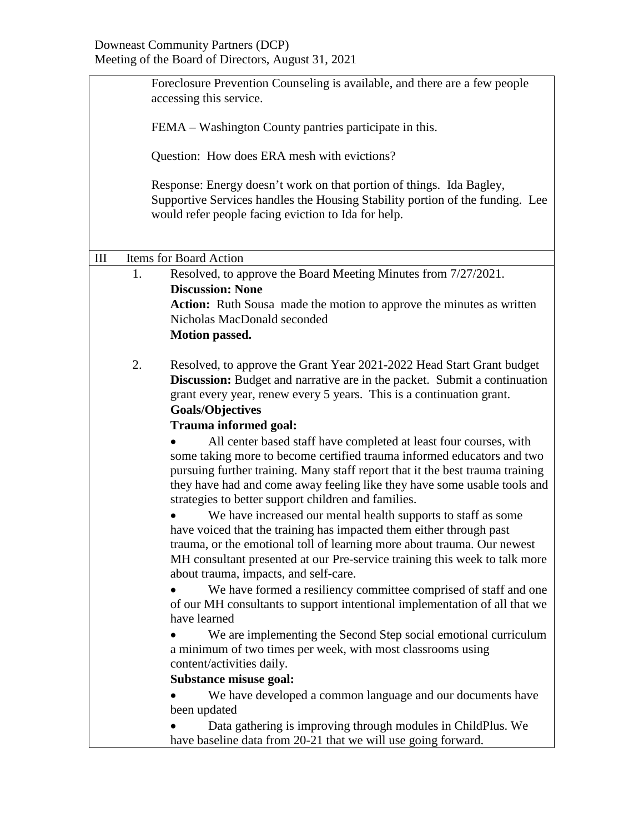|           | Foreclosure Prevention Counseling is available, and there are a few people<br>accessing this service. |                                                                                                                                                                                                                                                                                                                                                                                                                                                                                                                                                                                                                                                                                                                                                                                                                                                                                                                                                                                                                                                                      |  |  |  |
|-----------|-------------------------------------------------------------------------------------------------------|----------------------------------------------------------------------------------------------------------------------------------------------------------------------------------------------------------------------------------------------------------------------------------------------------------------------------------------------------------------------------------------------------------------------------------------------------------------------------------------------------------------------------------------------------------------------------------------------------------------------------------------------------------------------------------------------------------------------------------------------------------------------------------------------------------------------------------------------------------------------------------------------------------------------------------------------------------------------------------------------------------------------------------------------------------------------|--|--|--|
|           |                                                                                                       | FEMA – Washington County pantries participate in this.                                                                                                                                                                                                                                                                                                                                                                                                                                                                                                                                                                                                                                                                                                                                                                                                                                                                                                                                                                                                               |  |  |  |
|           | Question: How does ERA mesh with evictions?                                                           |                                                                                                                                                                                                                                                                                                                                                                                                                                                                                                                                                                                                                                                                                                                                                                                                                                                                                                                                                                                                                                                                      |  |  |  |
|           |                                                                                                       | Response: Energy doesn't work on that portion of things. Ida Bagley,<br>Supportive Services handles the Housing Stability portion of the funding. Lee<br>would refer people facing eviction to Ida for help.                                                                                                                                                                                                                                                                                                                                                                                                                                                                                                                                                                                                                                                                                                                                                                                                                                                         |  |  |  |
| $\rm III$ |                                                                                                       | <b>Items for Board Action</b>                                                                                                                                                                                                                                                                                                                                                                                                                                                                                                                                                                                                                                                                                                                                                                                                                                                                                                                                                                                                                                        |  |  |  |
|           | 1.                                                                                                    | Resolved, to approve the Board Meeting Minutes from 7/27/2021.<br><b>Discussion: None</b>                                                                                                                                                                                                                                                                                                                                                                                                                                                                                                                                                                                                                                                                                                                                                                                                                                                                                                                                                                            |  |  |  |
|           |                                                                                                       | <b>Action:</b> Ruth Sousa made the motion to approve the minutes as written<br>Nicholas MacDonald seconded<br><b>Motion passed.</b>                                                                                                                                                                                                                                                                                                                                                                                                                                                                                                                                                                                                                                                                                                                                                                                                                                                                                                                                  |  |  |  |
|           | 2.                                                                                                    | Resolved, to approve the Grant Year 2021-2022 Head Start Grant budget<br><b>Discussion:</b> Budget and narrative are in the packet. Submit a continuation<br>grant every year, renew every 5 years. This is a continuation grant.<br><b>Goals/Objectives</b><br><b>Trauma informed goal:</b>                                                                                                                                                                                                                                                                                                                                                                                                                                                                                                                                                                                                                                                                                                                                                                         |  |  |  |
|           |                                                                                                       | All center based staff have completed at least four courses, with<br>some taking more to become certified trauma informed educators and two<br>pursuing further training. Many staff report that it the best trauma training<br>they have had and come away feeling like they have some usable tools and<br>strategies to better support children and families.<br>We have increased our mental health supports to staff as some<br>have voiced that the training has impacted them either through past<br>trauma, or the emotional toll of learning more about trauma. Our newest<br>MH consultant presented at our Pre-service training this week to talk more<br>about trauma, impacts, and self-care.<br>We have formed a resiliency committee comprised of staff and one<br>of our MH consultants to support intentional implementation of all that we<br>have learned<br>We are implementing the Second Step social emotional curriculum<br>a minimum of two times per week, with most classrooms using<br>content/activities daily.<br>Substance misuse goal: |  |  |  |
|           |                                                                                                       | We have developed a common language and our documents have<br>been updated<br>Data gathering is improving through modules in ChildPlus. We<br>have baseline data from 20-21 that we will use going forward.                                                                                                                                                                                                                                                                                                                                                                                                                                                                                                                                                                                                                                                                                                                                                                                                                                                          |  |  |  |
|           |                                                                                                       |                                                                                                                                                                                                                                                                                                                                                                                                                                                                                                                                                                                                                                                                                                                                                                                                                                                                                                                                                                                                                                                                      |  |  |  |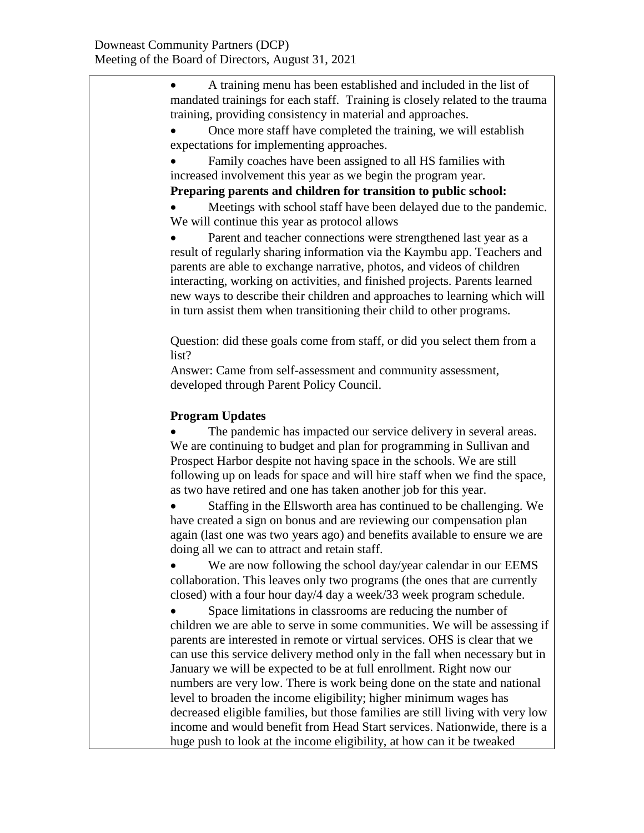• A training menu has been established and included in the list of mandated trainings for each staff. Training is closely related to the trauma training, providing consistency in material and approaches.

• Once more staff have completed the training, we will establish expectations for implementing approaches.

Family coaches have been assigned to all HS families with increased involvement this year as we begin the program year.

**Preparing parents and children for transition to public school:**

Meetings with school staff have been delayed due to the pandemic. We will continue this year as protocol allows

Parent and teacher connections were strengthened last year as a result of regularly sharing information via the Kaymbu app. Teachers and parents are able to exchange narrative, photos, and videos of children interacting, working on activities, and finished projects. Parents learned new ways to describe their children and approaches to learning which will in turn assist them when transitioning their child to other programs.

Question: did these goals come from staff, or did you select them from a list?

Answer: Came from self-assessment and community assessment, developed through Parent Policy Council.

## **Program Updates**

The pandemic has impacted our service delivery in several areas. We are continuing to budget and plan for programming in Sullivan and Prospect Harbor despite not having space in the schools. We are still following up on leads for space and will hire staff when we find the space, as two have retired and one has taken another job for this year.

• Staffing in the Ellsworth area has continued to be challenging. We have created a sign on bonus and are reviewing our compensation plan again (last one was two years ago) and benefits available to ensure we are doing all we can to attract and retain staff.

We are now following the school day/year calendar in our EEMS collaboration. This leaves only two programs (the ones that are currently closed) with a four hour day/4 day a week/33 week program schedule.

Space limitations in classrooms are reducing the number of children we are able to serve in some communities. We will be assessing if parents are interested in remote or virtual services. OHS is clear that we can use this service delivery method only in the fall when necessary but in January we will be expected to be at full enrollment. Right now our numbers are very low. There is work being done on the state and national level to broaden the income eligibility; higher minimum wages has decreased eligible families, but those families are still living with very low income and would benefit from Head Start services. Nationwide, there is a huge push to look at the income eligibility, at how can it be tweaked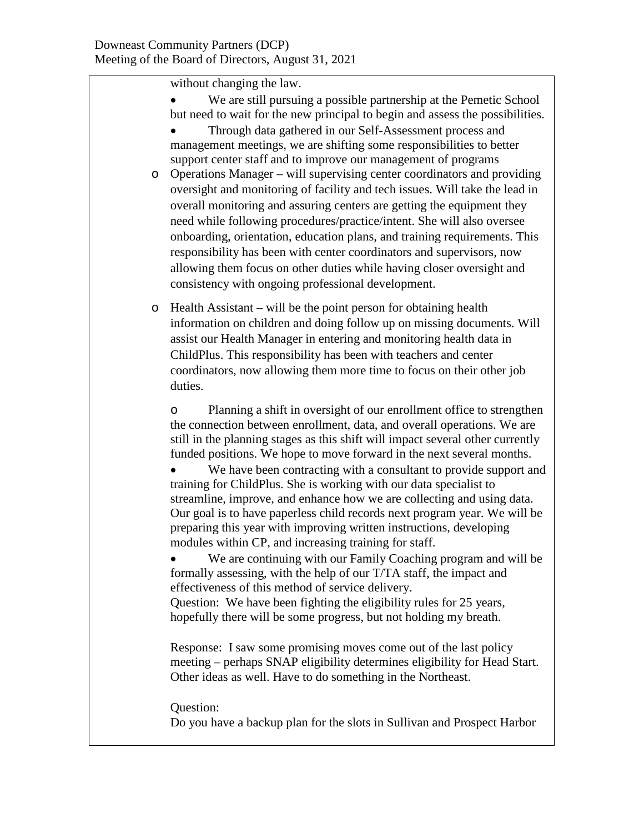without changing the law.

- We are still pursuing a possible partnership at the Pemetic School but need to wait for the new principal to begin and assess the possibilities.
- Through data gathered in our Self-Assessment process and management meetings, we are shifting some responsibilities to better support center staff and to improve our management of programs
- o Operations Manager will supervising center coordinators and providing oversight and monitoring of facility and tech issues. Will take the lead in overall monitoring and assuring centers are getting the equipment they need while following procedures/practice/intent. She will also oversee onboarding, orientation, education plans, and training requirements. This responsibility has been with center coordinators and supervisors, now allowing them focus on other duties while having closer oversight and consistency with ongoing professional development.
- o Health Assistant will be the point person for obtaining health information on children and doing follow up on missing documents. Will assist our Health Manager in entering and monitoring health data in ChildPlus. This responsibility has been with teachers and center coordinators, now allowing them more time to focus on their other job duties.

o Planning a shift in oversight of our enrollment office to strengthen the connection between enrollment, data, and overall operations. We are still in the planning stages as this shift will impact several other currently funded positions. We hope to move forward in the next several months.

We have been contracting with a consultant to provide support and training for ChildPlus. She is working with our data specialist to streamline, improve, and enhance how we are collecting and using data. Our goal is to have paperless child records next program year. We will be preparing this year with improving written instructions, developing modules within CP, and increasing training for staff.

• We are continuing with our Family Coaching program and will be formally assessing, with the help of our T/TA staff, the impact and effectiveness of this method of service delivery.

Question: We have been fighting the eligibility rules for 25 years, hopefully there will be some progress, but not holding my breath.

Response: I saw some promising moves come out of the last policy meeting – perhaps SNAP eligibility determines eligibility for Head Start. Other ideas as well. Have to do something in the Northeast.

## Question:

Do you have a backup plan for the slots in Sullivan and Prospect Harbor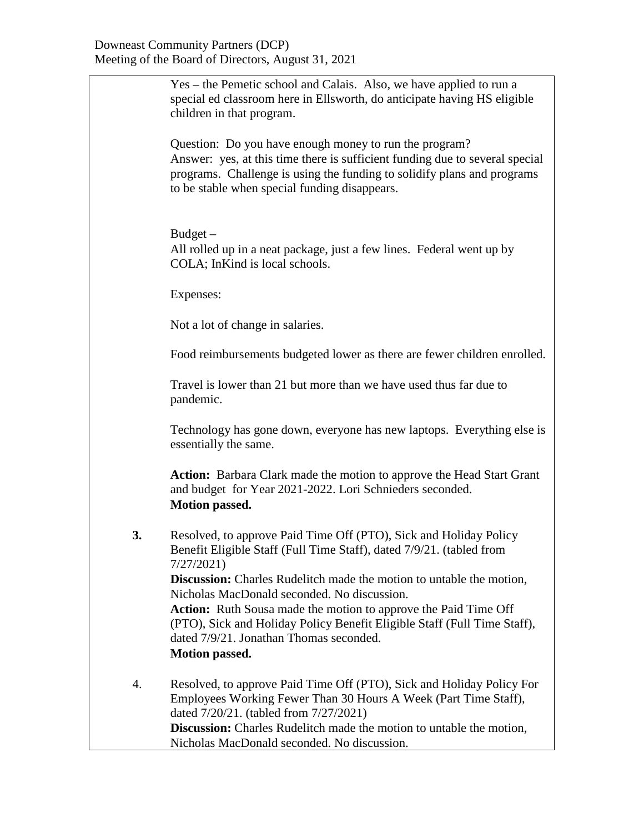|    | Yes – the Pemetic school and Calais. Also, we have applied to run a<br>special ed classroom here in Ellsworth, do anticipate having HS eligible<br>children in that program.                                                                                       |
|----|--------------------------------------------------------------------------------------------------------------------------------------------------------------------------------------------------------------------------------------------------------------------|
|    | Question: Do you have enough money to run the program?<br>Answer: yes, at this time there is sufficient funding due to several special<br>programs. Challenge is using the funding to solidify plans and programs<br>to be stable when special funding disappears. |
|    | $Budget -$<br>All rolled up in a neat package, just a few lines. Federal went up by<br>COLA; InKind is local schools.                                                                                                                                              |
|    | Expenses:                                                                                                                                                                                                                                                          |
|    | Not a lot of change in salaries.                                                                                                                                                                                                                                   |
|    | Food reimbursements budgeted lower as there are fewer children enrolled.                                                                                                                                                                                           |
|    | Travel is lower than 21 but more than we have used thus far due to<br>pandemic.                                                                                                                                                                                    |
|    | Technology has gone down, everyone has new laptops. Everything else is<br>essentially the same.                                                                                                                                                                    |
|    | Action: Barbara Clark made the motion to approve the Head Start Grant<br>and budget for Year 2021-2022. Lori Schnieders seconded.<br><b>Motion passed.</b>                                                                                                         |
| 3. | Resolved, to approve Paid Time Off (PTO), Sick and Holiday Policy<br>Benefit Eligible Staff (Full Time Staff), dated 7/9/21. (tabled from<br>7/27/2021                                                                                                             |
|    | <b>Discussion:</b> Charles Rudelitch made the motion to untable the motion,<br>Nicholas MacDonald seconded. No discussion.                                                                                                                                         |
|    | <b>Action:</b> Ruth Sousa made the motion to approve the Paid Time Off<br>(PTO), Sick and Holiday Policy Benefit Eligible Staff (Full Time Staff),<br>dated 7/9/21. Jonathan Thomas seconded.<br><b>Motion passed.</b>                                             |
|    |                                                                                                                                                                                                                                                                    |
| 4. | Resolved, to approve Paid Time Off (PTO), Sick and Holiday Policy For<br>Employees Working Fewer Than 30 Hours A Week (Part Time Staff),<br>dated 7/20/21. (tabled from 7/27/2021)<br>Discussion: Charles Rudelitch made the motion to untable the motion,         |
|    | Nicholas MacDonald seconded. No discussion.                                                                                                                                                                                                                        |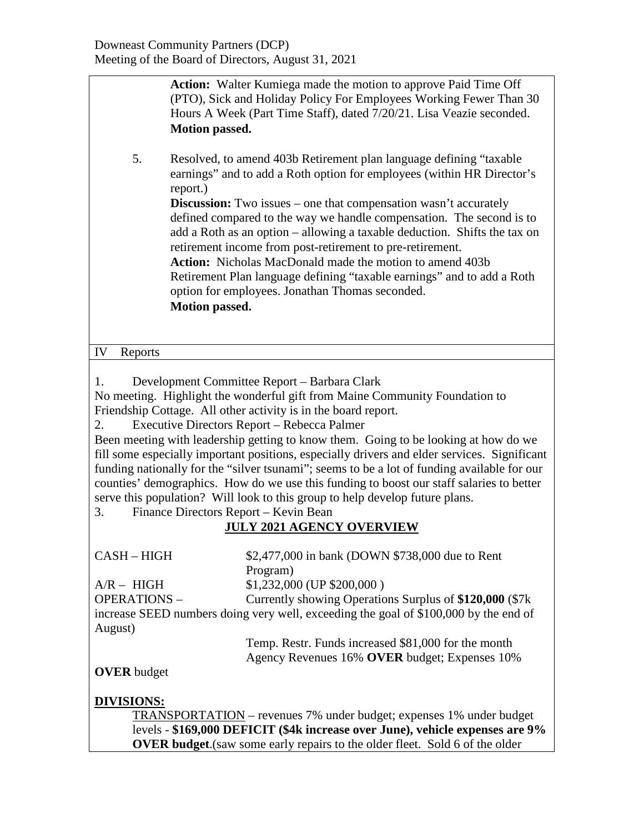| Motion passed.                                                                                                                                                                                                                                                                                                                                                                                                                                                                                                                                                                                                                                                                                                                                                                                                | <b>Action:</b> Walter Kumiega made the motion to approve Paid Time Off<br>(PTO), Sick and Holiday Policy For Employees Working Fewer Than 30<br>Hours A Week (Part Time Staff), dated 7/20/21. Lisa Veazie seconded. |  |  |  |
|---------------------------------------------------------------------------------------------------------------------------------------------------------------------------------------------------------------------------------------------------------------------------------------------------------------------------------------------------------------------------------------------------------------------------------------------------------------------------------------------------------------------------------------------------------------------------------------------------------------------------------------------------------------------------------------------------------------------------------------------------------------------------------------------------------------|----------------------------------------------------------------------------------------------------------------------------------------------------------------------------------------------------------------------|--|--|--|
| 5.<br>report.)                                                                                                                                                                                                                                                                                                                                                                                                                                                                                                                                                                                                                                                                                                                                                                                                | Resolved, to amend 403b Retirement plan language defining "taxable"<br>earnings" and to add a Roth option for employees (within HR Director's                                                                        |  |  |  |
| <b>Discussion:</b> Two issues – one that compensation wasn't accurately<br>defined compared to the way we handle compensation. The second is to<br>add a Roth as an option – allowing a taxable deduction. Shifts the tax on<br>retirement income from post-retirement to pre-retirement.<br><b>Action:</b> Nicholas MacDonald made the motion to amend 403b<br>Retirement Plan language defining "taxable earnings" and to add a Roth<br>option for employees. Jonathan Thomas seconded.<br>Motion passed.                                                                                                                                                                                                                                                                                                   |                                                                                                                                                                                                                      |  |  |  |
| IV<br>Reports                                                                                                                                                                                                                                                                                                                                                                                                                                                                                                                                                                                                                                                                                                                                                                                                 |                                                                                                                                                                                                                      |  |  |  |
| Development Committee Report - Barbara Clark<br>1.<br>No meeting. Highlight the wonderful gift from Maine Community Foundation to<br>Friendship Cottage. All other activity is in the board report.<br>Executive Directors Report - Rebecca Palmer<br>2.<br>Been meeting with leadership getting to know them. Going to be looking at how do we<br>fill some especially important positions, especially drivers and elder services. Significant<br>funding nationally for the "silver tsunami"; seems to be a lot of funding available for our<br>counties' demographics. How do we use this funding to boost our staff salaries to better<br>serve this population? Will look to this group to help develop future plans.<br>Finance Directors Report - Kevin Bean<br>3.<br><b>JULY 2021 AGENCY OVERVIEW</b> |                                                                                                                                                                                                                      |  |  |  |
| CASH-HIGH                                                                                                                                                                                                                                                                                                                                                                                                                                                                                                                                                                                                                                                                                                                                                                                                     | \$2,477,000 in bank (DOWN \$738,000 due to Rent<br>Program)                                                                                                                                                          |  |  |  |
| $A/R - HIGH$                                                                                                                                                                                                                                                                                                                                                                                                                                                                                                                                                                                                                                                                                                                                                                                                  | $$1,232,000$ (UP $$200,000$ )                                                                                                                                                                                        |  |  |  |
| <b>OPERATIONS -</b><br>Currently showing Operations Surplus of \$120,000 (\$7k)<br>increase SEED numbers doing very well, exceeding the goal of \$100,000 by the end of<br>August)                                                                                                                                                                                                                                                                                                                                                                                                                                                                                                                                                                                                                            |                                                                                                                                                                                                                      |  |  |  |
|                                                                                                                                                                                                                                                                                                                                                                                                                                                                                                                                                                                                                                                                                                                                                                                                               | Temp. Restr. Funds increased \$81,000 for the month                                                                                                                                                                  |  |  |  |
|                                                                                                                                                                                                                                                                                                                                                                                                                                                                                                                                                                                                                                                                                                                                                                                                               | Agency Revenues 16% OVER budget; Expenses 10%                                                                                                                                                                        |  |  |  |
| <b>OVER</b> budget                                                                                                                                                                                                                                                                                                                                                                                                                                                                                                                                                                                                                                                                                                                                                                                            |                                                                                                                                                                                                                      |  |  |  |
| <u>DIVISIONS:</u><br><b>TRANSPORTATION</b> – revenues 7% under budget; expenses 1% under budget<br>levels - \$169,000 DEFICIT (\$4k increase over June), vehicle expenses are 9%<br>OVER budget.(saw some early repairs to the older fleet. Sold 6 of the older                                                                                                                                                                                                                                                                                                                                                                                                                                                                                                                                               |                                                                                                                                                                                                                      |  |  |  |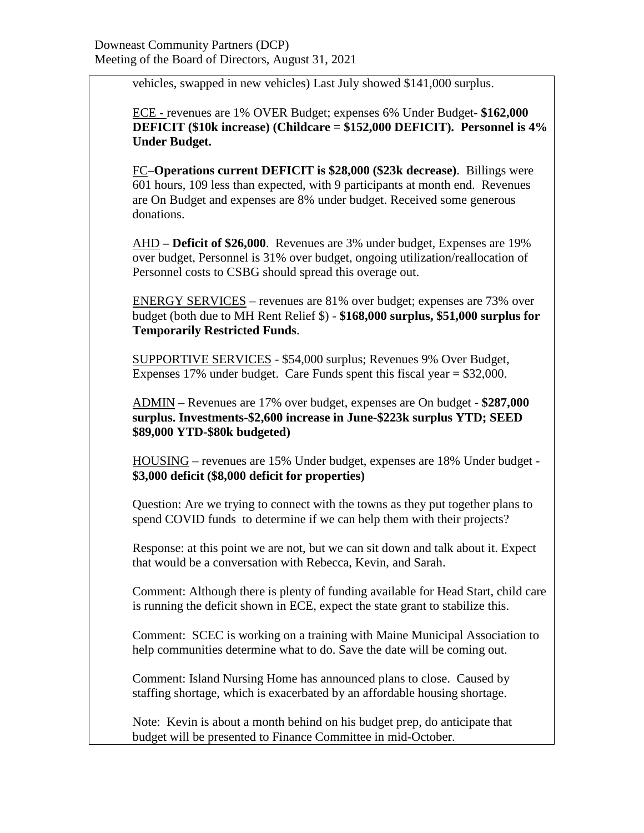vehicles, swapped in new vehicles) Last July showed \$141,000 surplus.

ECE - revenues are 1% OVER Budget; expenses 6% Under Budget- **\$162,000 DEFICIT (\$10k increase) (Childcare = \$152,000 DEFICIT). Personnel is 4% Under Budget.**

FC–**Operations current DEFICIT is \$28,000 (\$23k decrease)**. Billings were 601 hours, 109 less than expected, with 9 participants at month end. Revenues are On Budget and expenses are 8% under budget. Received some generous donations.

AHD **– Deficit of \$26,000**. Revenues are 3% under budget, Expenses are 19% over budget, Personnel is 31% over budget, ongoing utilization/reallocation of Personnel costs to CSBG should spread this overage out.

ENERGY SERVICES – revenues are 81% over budget; expenses are 73% over budget (both due to MH Rent Relief \$) - **\$168,000 surplus, \$51,000 surplus for Temporarily Restricted Funds**.

SUPPORTIVE SERVICES - \$54,000 surplus; Revenues 9% Over Budget, Expenses 17% under budget. Care Funds spent this fiscal year = \$32,000.

ADMIN – Revenues are 17% over budget, expenses are On budget - **\$287,000 surplus. Investments-\$2,600 increase in June-\$223k surplus YTD; SEED \$89,000 YTD-\$80k budgeted)**

HOUSING – revenues are 15% Under budget, expenses are 18% Under budget - **\$3,000 deficit (\$8,000 deficit for properties)**

Question: Are we trying to connect with the towns as they put together plans to spend COVID funds to determine if we can help them with their projects?

Response: at this point we are not, but we can sit down and talk about it. Expect that would be a conversation with Rebecca, Kevin, and Sarah.

Comment: Although there is plenty of funding available for Head Start, child care is running the deficit shown in ECE, expect the state grant to stabilize this.

Comment: SCEC is working on a training with Maine Municipal Association to help communities determine what to do. Save the date will be coming out.

Comment: Island Nursing Home has announced plans to close. Caused by staffing shortage, which is exacerbated by an affordable housing shortage.

Note: Kevin is about a month behind on his budget prep, do anticipate that budget will be presented to Finance Committee in mid-October.